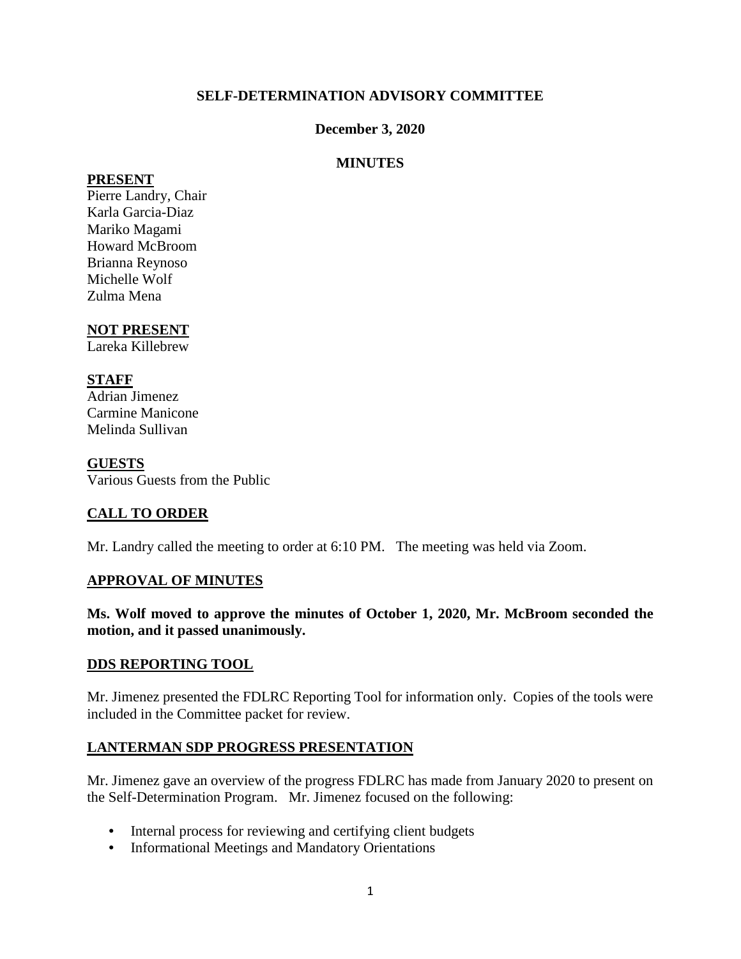## **SELF-DETERMINATION ADVISORY COMMITTEE**

### **December 3, 2020**

## **MINUTES**

#### **PRESENT**

Pierre Landry, Chair Karla Garcia-Diaz Mariko Magami Howard McBroom Brianna Reynoso Michelle Wolf Zulma Mena

## **NOT PRESENT**

Lareka Killebrew

## **STAFF**

Adrian Jimenez Carmine Manicone Melinda Sullivan

#### **GUESTS**

Various Guests from the Public

## **CALL TO ORDER**

Mr. Landry called the meeting to order at 6:10 PM. The meeting was held via Zoom.

#### **APPROVAL OF MINUTES**

**Ms. Wolf moved to approve the minutes of October 1, 2020, Mr. McBroom seconded the motion, and it passed unanimously.** 

#### **DDS REPORTING TOOL**

Mr. Jimenez presented the FDLRC Reporting Tool for information only. Copies of the tools were included in the Committee packet for review.

#### **LANTERMAN SDP PROGRESS PRESENTATION**

Mr. Jimenez gave an overview of the progress FDLRC has made from January 2020 to present on the Self-Determination Program. Mr. Jimenez focused on the following:

- Internal process for reviewing and certifying client budgets
- Informational Meetings and Mandatory Orientations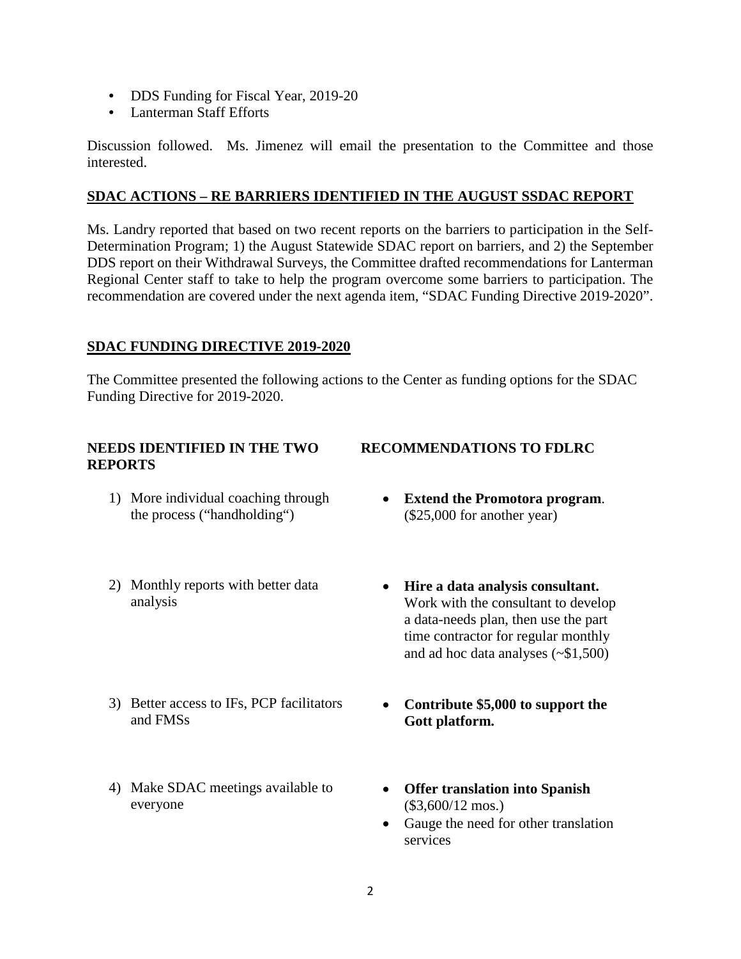- DDS Funding for Fiscal Year, 2019-20
- Lanterman Staff Efforts

Discussion followed. Ms. Jimenez will email the presentation to the Committee and those interested.

### **SDAC ACTIONS – RE BARRIERS IDENTIFIED IN THE AUGUST SSDAC REPORT**

Ms. Landry reported that based on two recent reports on the barriers to participation in the Self-Determination Program; 1) the August Statewide SDAC report on barriers, and 2) the September DDS report on their Withdrawal Surveys, the Committee drafted recommendations for Lanterman Regional Center staff to take to help the program overcome some barriers to participation. The recommendation are covered under the next agenda item, "SDAC Funding Directive 2019-2020".

## **SDAC FUNDING DIRECTIVE 2019-2020**

The Committee presented the following actions to the Center as funding options for the SDAC Funding Directive for 2019-2020.

#### **NEEDS IDENTIFIED IN THE TWO REPORTS**

- 1) More individual coaching through the process ("handholding")
- 2) Monthly reports with better data analysis
- 3) Better access to IFs, PCP facilitators and FMSs
- 4) Make SDAC meetings available to everyone

## **RECOMMENDATIONS TO FDLRC**

- **Extend the Promotora program**. (\$25,000 for another year)
- **Hire a data analysis consultant.**  Work with the consultant to develop a data-needs plan, then use the part time contractor for regular monthly and ad hoc data analyses (~\$1,500)
- **Contribute \$5,000 to support the Gott platform.**
- **Offer translation into Spanish**  (\$3,600/12 mos.)
- Gauge the need for other translation services